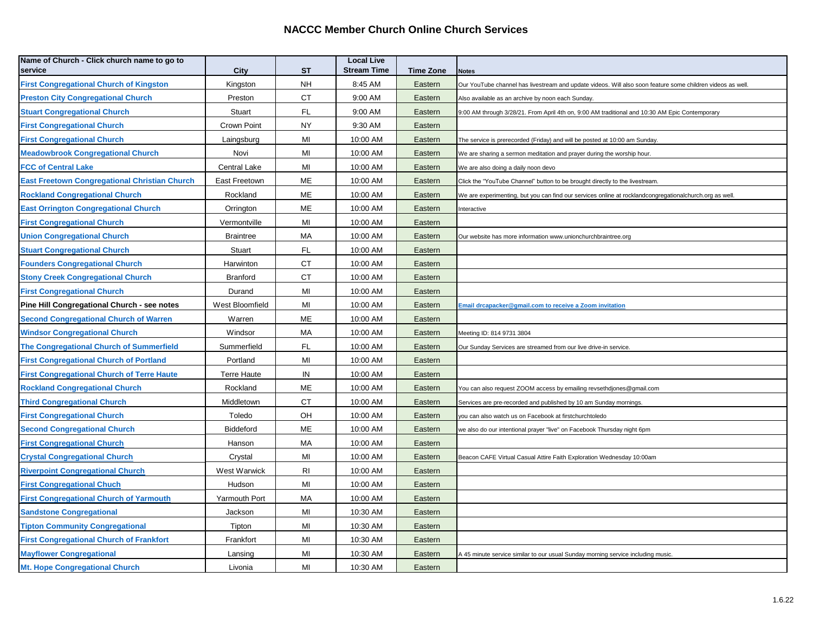## **NACCC Member Church Online Church Services**

| Name of Church - Click church name to go to<br>service | City             | <b>ST</b> | <b>Local Live</b><br><b>Stream Time</b> | <b>Time Zone</b> | <b>Notes</b>                                                                                               |  |
|--------------------------------------------------------|------------------|-----------|-----------------------------------------|------------------|------------------------------------------------------------------------------------------------------------|--|
| <b>First Congregational Church of Kingston</b>         | Kingston         | <b>NH</b> | 8:45 AM                                 | Eastern          | Our YouTube channel has livestream and update videos. Will also soon feature some children videos as well. |  |
| <b>Preston City Congregational Church</b>              | Preston          | <b>CT</b> | 9:00 AM                                 | Eastern          | Also available as an archive by noon each Sunday.                                                          |  |
| <b>Stuart Congregational Church</b>                    | Stuart           | <b>FL</b> | 9:00 AM                                 | Eastern          | 9:00 AM through 3/28/21. From April 4th on, 9:00 AM traditional and 10:30 AM Epic Contemporary             |  |
| <b>First Congregational Church</b>                     | Crown Point      | NY        | 9:30 AM                                 | Eastern          |                                                                                                            |  |
| <b>First Congregational Church</b>                     | Laingsburg       | MI        | 10:00 AM                                | Eastern          | The service is prerecorded (Friday) and will be posted at 10:00 am Sunday.                                 |  |
| <b>Meadowbrook Congregational Church</b>               | Novi             | MI        | 10:00 AM                                | Eastern          | We are sharing a sermon meditation and prayer during the worship hour.                                     |  |
| <b>FCC of Central Lake</b>                             | Central Lake     | MI        | 10:00 AM                                | Eastern          | We are also doing a daily noon devo                                                                        |  |
| <b>East Freetown Congregational Christian Church</b>   | East Freetown    | ME        | 10:00 AM                                | Eastern          | Click the "YouTube Channel" button to be brought directly to the livestream.                               |  |
| <b>Rockland Congregational Church</b>                  | Rockland         | ME        | 10:00 AM                                | Eastern          | We are experimenting, but you can find our services online at rocklandcongregationalchurch.org as well     |  |
| <b>East Orrington Congregational Church</b>            | Orrington        | ME        | 10:00 AM                                | Eastern          | Interactive                                                                                                |  |
| <b>First Congregational Church</b>                     | Vermontville     | MI        | 10:00 AM                                | Eastern          |                                                                                                            |  |
| <b>Union Congregational Church</b>                     | <b>Braintree</b> | МA        | 10:00 AM                                | Eastern          | Our website has more information www.unionchurchbraintree.org                                              |  |
| <b>Stuart Congregational Church</b>                    | Stuart           | FL        | 10:00 AM                                | Eastern          |                                                                                                            |  |
| <b>Founders Congregational Church</b>                  | Harwinton        | CT        | 10:00 AM                                | Eastern          |                                                                                                            |  |
| <b>Stony Creek Congregational Church</b>               | Branford         | СT        | 10:00 AM                                | Eastern          |                                                                                                            |  |
| <b>First Congregational Church</b>                     | Durand           | MI        | 10:00 AM                                | Eastern          |                                                                                                            |  |
| Pine Hill Congregational Church - see notes            | West Bloomfield  | MI        | 10:00 AM                                | Eastern          | Email drcapacker@gmail.com to receive a Zoom invitation                                                    |  |
| <b>Second Congregational Church of Warren</b>          | Warren           | ME        | 10:00 AM                                | Eastern          |                                                                                                            |  |
| <b>Windsor Congregational Church</b>                   | Windsor          | МA        | 10:00 AM                                | Eastern          | Meeting ID: 814 9731 3804                                                                                  |  |
| <b>The Congregational Church of Summerfield</b>        | Summerfield      | FL        | 10:00 AM                                | Eastern          | Our Sunday Services are streamed from our live drive-in service.                                           |  |
| <b>First Congregational Church of Portland</b>         | Portland         | MI        | 10:00 AM                                | Eastern          |                                                                                                            |  |
| <b>First Congregational Church of Terre Haute</b>      | Terre Haute      | IN        | 10:00 AM                                | Eastern          |                                                                                                            |  |
| <b>Rockland Congregational Church</b>                  | Rockland         | ME        | 10:00 AM                                | Eastern          | You can also request ZOOM access by emailing revsethdjones@gmail.com                                       |  |
| <b>Third Congregational Church</b>                     | Middletown       | СT        | 10:00 AM                                | Eastern          | Services are pre-recorded and published by 10 am Sunday mornings.                                          |  |
| <b>First Congregational Church</b>                     | Toledo           | OH        | 10:00 AM                                | Eastern          | you can also watch us on Facebook at firstchurchtoledo                                                     |  |
| <b>Second Congregational Church</b>                    | Biddeford        | ME        | 10:00 AM                                | Eastern          | we also do our intentional prayer "live" on Facebook Thursday night 6pm                                    |  |
| <b>First Congregational Church</b>                     | Hanson           | MA        | 10:00 AM                                | Eastern          |                                                                                                            |  |
| <b>Crystal Congregational Church</b>                   | Crystal          | MI        | 10:00 AM                                | Eastern          | Beacon CAFE Virtual Casual Attire Faith Exploration Wednesday 10:00am                                      |  |
| <b>Riverpoint Congregational Church</b>                | West Warwick     | RI        | 10:00 AM                                | Eastern          |                                                                                                            |  |
| <b>First Congregational Chuch</b>                      | Hudson           | MI        | 10:00 AM                                | Eastern          |                                                                                                            |  |
| <b>First Congregational Church of Yarmouth</b>         | Yarmouth Port    | MA        | 10:00 AM                                | Eastern          |                                                                                                            |  |
| <b>Sandstone Congregational</b>                        | Jackson          | MI        | 10:30 AM                                | Eastern          |                                                                                                            |  |
| <b>Tipton Community Congregational</b>                 | <b>Tipton</b>    | MI        | 10:30 AM                                | Eastern          |                                                                                                            |  |
| <b>First Congregational Church of Frankfort</b>        | Frankfort        | MI        | 10:30 AM                                | Eastern          |                                                                                                            |  |
| <b>Mayflower Congregational</b>                        | Lansing          | MI        | 10:30 AM                                | Eastern          | A 45 minute service similar to our usual Sunday morning service including music.                           |  |
| <b>Mt. Hope Congregational Church</b>                  | Livonia          | MI        | 10:30 AM                                | Eastern          |                                                                                                            |  |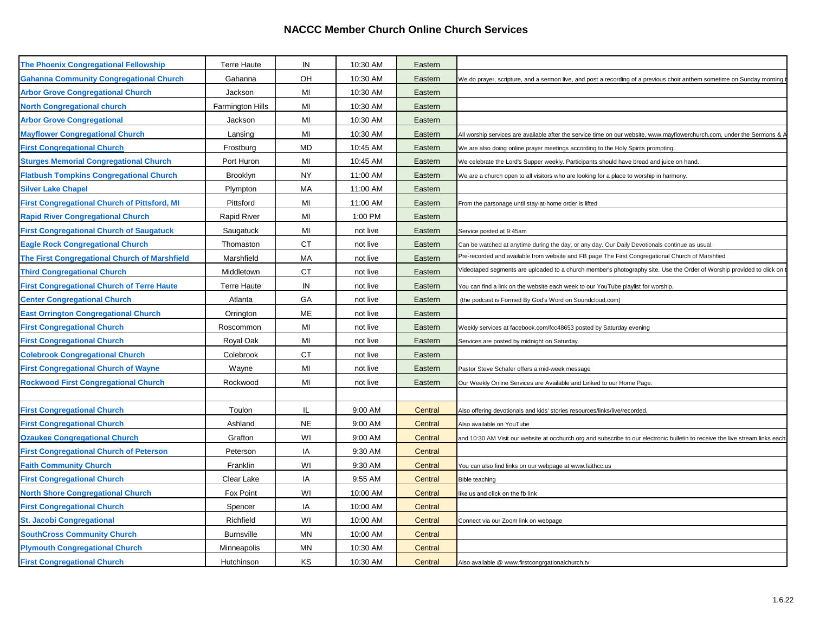## **NACCC Member Church Online Church Services**

| The Phoenix Congregational Fellowship               | <b>Terre Haute</b> | IN        | 10:30 AM | Eastern |                                                                                                                               |
|-----------------------------------------------------|--------------------|-----------|----------|---------|-------------------------------------------------------------------------------------------------------------------------------|
| <b>Gahanna Community Congregational Church</b>      | Gahanna            | OH        | 10:30 AM | Eastern | We do prayer, scripture, and a sermon live, and post a recording of a previous choir anthem sometime on Sunday morning        |
| <b>Arbor Grove Congregational Church</b>            | Jackson            | MI        | 10:30 AM | Eastern |                                                                                                                               |
| <b>North Congregational church</b>                  | Farmington Hills   | MI        | 10:30 AM | Eastern |                                                                                                                               |
| <b>Arbor Grove Congregational</b>                   | Jackson            | MI        | 10:30 AM | Eastern |                                                                                                                               |
| <b>Mayflower Congregational Church</b>              | Lansing            | MI        | 10:30 AM | Eastern | All worship services are available after the service time on our website, www.mayflowerchurch.com, under the Sermons & /      |
| <b>First Congregational Church</b>                  | Frostburg          | <b>MD</b> | 10:45 AM | Eastern | We are also doing online prayer meetings according to the Holy Spirits prompting.                                             |
| <b>Sturges Memorial Congregational Church</b>       | Port Huron         | MI        | 10:45 AM | Eastern | We celebrate the Lord's Supper weekly. Participants should have bread and juice on hand.                                      |
| <b>Flatbush Tompkins Congregational Church</b>      | Brooklyn           | <b>NY</b> | 11:00 AM | Eastern | We are a church open to all visitors who are looking for a place to worship in harmony.                                       |
| <b>Silver Lake Chapel</b>                           | Plympton           | МA        | 11:00 AM | Eastern |                                                                                                                               |
| <b>First Congregational Church of Pittsford, MI</b> | Pittsford          | MI        | 11:00 AM | Eastern | From the parsonage until stay-at-home order is lifted                                                                         |
| <b>Rapid River Congregational Church</b>            | <b>Rapid River</b> | MI        | 1:00 PM  | Eastern |                                                                                                                               |
| <b>First Congregational Church of Saugatuck</b>     | Saugatuck          | MI        | not live | Eastern | Service posted at 9:45am                                                                                                      |
| <b>Eagle Rock Congregational Church</b>             | Thomaston          | CT.       | not live | Eastern | Can be watched at anytime during the day, or any day. Our Daily Devotionals continue as usual.                                |
| The First Congregational Church of Marshfield       | Marshfield         | MA        | not live | Eastern | Pre-recorded and available from website and FB page The First Congregational Church of Marshfied                              |
| <b>Third Congregational Church</b>                  | Middletown         | <b>CT</b> | not live | Eastern | /ideotaped segments are uploaded to a church member's photography site. Use the Order of Worship provided to click on         |
| <b>First Congregational Church of Terre Haute</b>   | <b>Terre Haute</b> | IN        | not live | Eastern | You can find a link on the website each week to our YouTube playlist for worship.                                             |
| <b>Center Congregational Church</b>                 | Atlanta            | GA        | not live | Eastern | (the podcast is Formed By God's Word on Soundcloud.com)                                                                       |
| <b>East Orrington Congregational Church</b>         | Orrington          | ME        | not live | Eastern |                                                                                                                               |
| <b>First Congregational Church</b>                  | Roscommon          | MI        | not live | Eastern | Weekly services at facebook.com/fcc48653 posted by Saturday evening                                                           |
| <b>First Congregational Church</b>                  | Royal Oak          | MI        | not live | Eastern | Services are posted by midnight on Saturday.                                                                                  |
| <b>Colebrook Congregational Church</b>              | Colebrook          | <b>CT</b> | not live | Eastern |                                                                                                                               |
| <b>First Congregational Church of Wayne</b>         | Wayne              | MI        | not live | Eastern | Pastor Steve Schafer offers a mid-week message                                                                                |
| <b>Rockwood First Congregational Church</b>         | Rockwood           | MI        | not live | Eastern | Our Weekly Online Services are Available and Linked to our Home Page                                                          |
|                                                     |                    |           |          |         |                                                                                                                               |
| <b>First Congregational Church</b>                  | Toulon             | IL        | 9:00 AM  | Central | Also offering devotionals and kids' stories resources/links/live/recorded.                                                    |
| <b>First Congregational Church</b>                  | Ashland            | <b>NE</b> | 9:00 AM  | Central | Also available on YouTube                                                                                                     |
| <b>Ozaukee Congregational Church</b>                | Grafton            | WI        | 9:00 AM  | Central | and 10:30 AM Visit our website at occhurch.org and subscribe to our electronic bulletin to receive the live stream links each |
| <b>First Congregational Church of Peterson</b>      | Peterson           | IA        | 9:30 AM  | Central |                                                                                                                               |
| <b>Faith Community Church</b>                       | Franklin           | WI        | 9:30 AM  | Central | You can also find links on our webpage at www.faithcc.us                                                                      |
| <b>First Congregational Church</b>                  | Clear Lake         | IA        | 9:55 AM  | Central | <b>Bible teaching</b>                                                                                                         |
| <b>North Shore Congregational Church</b>            | Fox Point          | WI        | 10:00 AM | Central | like us and click on the fb link                                                                                              |
| <b>First Congregational Church</b>                  | Spencer            | IA        | 10:00 AM | Central |                                                                                                                               |
| <b>St. Jacobi Congregational</b>                    | Richfield          | WI        | 10:00 AM | Central | Connect via our Zoom link on webpage                                                                                          |
| <b>SouthCross Community Church</b>                  | <b>Burnsville</b>  | MN        | 10:00 AM | Central |                                                                                                                               |
| <b>Plymouth Congregational Church</b>               | Minneapolis        | MN        | 10:30 AM | Central |                                                                                                                               |
| <b>First Congregational Church</b>                  | Hutchinson         | KS        | 10:30 AM | Central | Also available @ www.firstcongrgationalchurch.tv                                                                              |
|                                                     |                    |           |          |         |                                                                                                                               |